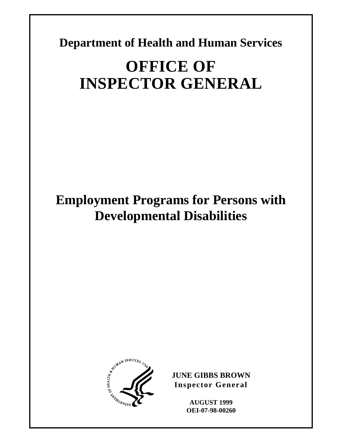**Department of Health and Human Services** 

# **OFFICE OF INSPECTOR GENERAL**

# **Employment Programs for Persons with Developmental Disabilities**



**JUNE GIBBS BROWN Inspector General** 

> **AUGUST 1999 OEI-07-98-00260**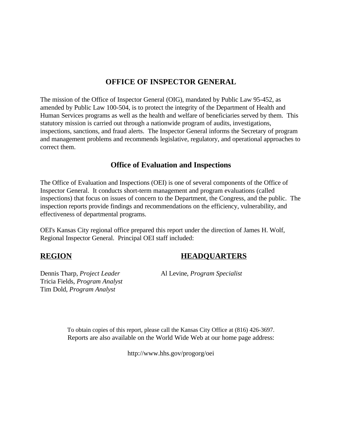### **OFFICE OF INSPECTOR GENERAL**

The mission of the Office of Inspector General (OIG), mandated by Public Law 95-452, as amended by Public Law 100-504, is to protect the integrity of the Department of Health and Human Services programs as well as the health and welfare of beneficiaries served by them. This statutory mission is carried out through a nationwide program of audits, investigations, inspections, sanctions, and fraud alerts. The Inspector General informs the Secretary of program and management problems and recommends legislative, regulatory, and operational approaches to correct them.

### **Office of Evaluation and Inspections**

The Office of Evaluation and Inspections (OEI) is one of several components of the Office of Inspector General. It conducts short-term management and program evaluations (called inspections) that focus on issues of concern to the Department, the Congress, and the public. The inspection reports provide findings and recommendations on the efficiency, vulnerability, and effectiveness of departmental programs.

OEI's Kansas City regional office prepared this report under the direction of James H. Wolf, Regional Inspector General. Principal OEI staff included:

### **REGION HEADQUARTERS**

Dennis Tharp, *Project Leader* Al Levine, *Program Specialist* Tricia Fields, *Program Analyst* Tim Dold, *Program Analyst*

To obtain copies of this report, please call the Kansas City Office at (816) 426-3697. Reports are also available on the World Wide Web at our home page address:

http://www.hhs.gov/progorg/oei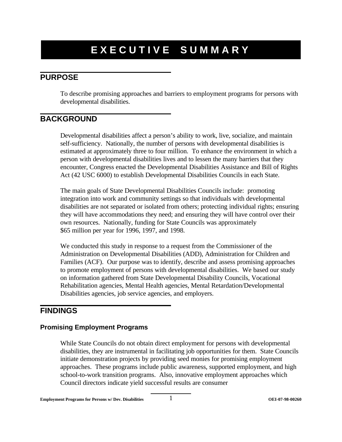# **EXECUTIVE SUMMARY**

## **PURPOSE**

To describe promising approaches and barriers to employment programs for persons with developmental disabilities.

## **BACKGROUND**

Developmental disabilities affect a person's ability to work, live, socialize, and maintain self-sufficiency. Nationally, the number of persons with developmental disabilities is estimated at approximately three to four million. To enhance the environment in which a person with developmental disabilities lives and to lessen the many barriers that they encounter, Congress enacted the Developmental Disabilities Assistance and Bill of Rights Act (42 USC 6000) to establish Developmental Disabilities Councils in each State.

The main goals of State Developmental Disabilities Councils include: promoting integration into work and community settings so that individuals with developmental disabilities are not separated or isolated from others; protecting individual rights; ensuring they will have accommodations they need; and ensuring they will have control over their own resources. Nationally, funding for State Councils was approximately \$65 million per year for 1996, 1997, and 1998.

We conducted this study in response to a request from the Commissioner of the Administration on Developmental Disabilities (ADD), Administration for Children and Families (ACF). Our purpose was to identify, describe and assess promising approaches to promote employment of persons with developmental disabilities. We based our study on information gathered from State Developmental Disability Councils, Vocational Rehabilitation agencies, Mental Health agencies, Mental Retardation/Developmental Disabilities agencies, job service agencies, and employers.

### **FINDINGS**

#### **Promising Employment Programs**

While State Councils do not obtain direct employment for persons with developmental disabilities, they are instrumental in facilitating job opportunities for them. State Councils initiate demonstration projects by providing seed monies for promising employment approaches. These programs include public awareness, supported employment, and high school-to-work transition programs. Also, innovative employment approaches which Council directors indicate yield successful results are consumer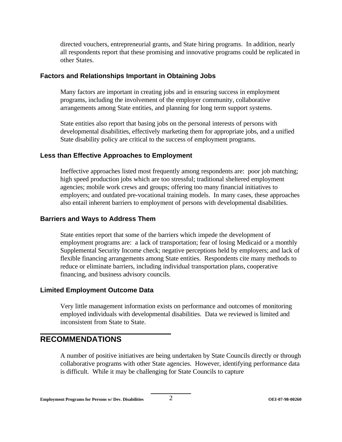directed vouchers, entrepreneurial grants, and State hiring programs. In addition, nearly all respondents report that these promising and innovative programs could be replicated in other States.

#### **Factors and Relationships Important in Obtaining Jobs**

Many factors are important in creating jobs and in ensuring success in employment programs, including the involvement of the employer community, collaborative arrangements among State entities, and planning for long term support systems.

State entities also report that basing jobs on the personal interests of persons with developmental disabilities, effectively marketing them for appropriate jobs, and a unified State disability policy are critical to the success of employment programs.

#### **Less than Effective Approaches to Employment**

Ineffective approaches listed most frequently among respondents are: poor job matching; high speed production jobs which are too stressful; traditional sheltered employment agencies; mobile work crews and groups; offering too many financial initiatives to employers; and outdated pre-vocational training models. In many cases, these approaches also entail inherent barriers to employment of persons with developmental disabilities.

#### **Barriers and Ways to Address Them**

State entities report that some of the barriers which impede the development of employment programs are: a lack of transportation; fear of losing Medicaid or a monthly Supplemental Security Income check; negative perceptions held by employers; and lack of flexible financing arrangements among State entities. Respondents cite many methods to reduce or eliminate barriers, including individual transportation plans, cooperative financing, and business advisory councils.

#### **Limited Employment Outcome Data**

Very little management information exists on performance and outcomes of monitoring employed individuals with developmental disabilities. Data we reviewed is limited and inconsistent from State to State.

### **RECOMMENDATIONS**

A number of positive initiatives are being undertaken by State Councils directly or through collaborative programs with other State agencies. However, identifying performance data is difficult. While it may be challenging for State Councils to capture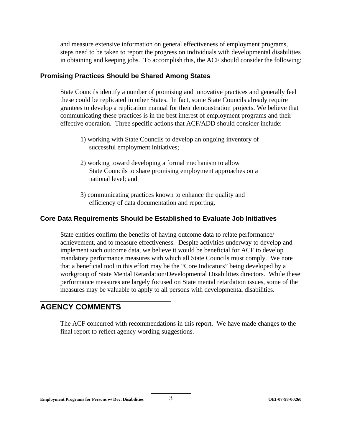and measure extensive information on general effectiveness of employment programs, steps need to be taken to report the progress on individuals with developmental disabilities in obtaining and keeping jobs. To accomplish this, the ACF should consider the following:

#### **Promising Practices Should be Shared Among States**

State Councils identify a number of promising and innovative practices and generally feel these could be replicated in other States. In fact, some State Councils already require grantees to develop a replication manual for their demonstration projects. We believe that communicating these practices is in the best interest of employment programs and their effective operation. Three specific actions that ACF/ADD should consider include:

- 1) working with State Councils to develop an ongoing inventory of successful employment initiatives;
- 2) working toward developing a formal mechanism to allow State Councils to share promising employment approaches on a national level; and
- 3) communicating practices known to enhance the quality and efficiency of data documentation and reporting.

#### **Core Data Requirements Should be Established to Evaluate Job Initiatives**

State entities confirm the benefits of having outcome data to relate performance/ achievement, and to measure effectiveness. Despite activities underway to develop and implement such outcome data, we believe it would be beneficial for ACF to develop mandatory performance measures with which all State Councils must comply. We note that a beneficial tool in this effort may be the "Core Indicators" being developed by a workgroup of State Mental Retardation/Developmental Disabilities directors. While these performance measures are largely focused on State mental retardation issues, some of the measures may be valuable to apply to all persons with developmental disabilities.

### **AGENCY COMMENTS**

The ACF concurred with recommendations in this report. We have made changes to the final report to reflect agency wording suggestions.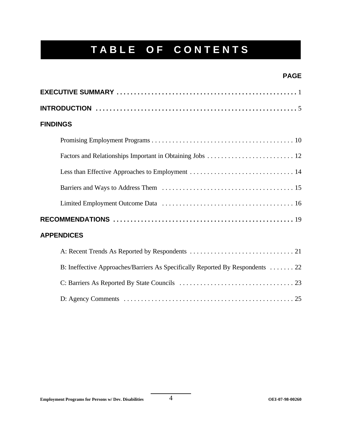# **TABLE OF CONTENTS**

### **PAGE**

| <b>FINDINGS</b>                                                                |
|--------------------------------------------------------------------------------|
|                                                                                |
|                                                                                |
|                                                                                |
|                                                                                |
|                                                                                |
|                                                                                |
| <b>APPENDICES</b>                                                              |
|                                                                                |
| B: Ineffective Approaches/Barriers As Specifically Reported By Respondents  22 |
|                                                                                |
|                                                                                |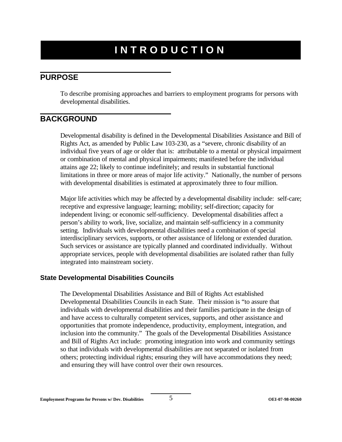# **INTRODUCTION**

### **PURPOSE**

To describe promising approaches and barriers to employment programs for persons with developmental disabilities.

## **BACKGROUND**

Developmental disability is defined in the Developmental Disabilities Assistance and Bill of Rights Act, as amended by Public Law 103-230, as a "severe, chronic disability of an individual five years of age or older that is: attributable to a mental or physical impairment or combination of mental and physical impairments; manifested before the individual attains age 22; likely to continue indefinitely; and results in substantial functional limitations in three or more areas of major life activity." Nationally, the number of persons with developmental disabilities is estimated at approximately three to four million.

Major life activities which may be affected by a developmental disability include: self-care; receptive and expressive language; learning; mobility; self-direction; capacity for independent living; or economic self-sufficiency. Developmental disabilities affect a person's ability to work, live, socialize, and maintain self-sufficiency in a community setting. Individuals with developmental disabilities need a combination of special interdisciplinary services, supports, or other assistance of lifelong or extended duration. Such services or assistance are typically planned and coordinated individually. Without appropriate services, people with developmental disabilities are isolated rather than fully integrated into mainstream society.

#### **State Developmental Disabilities Councils**

The Developmental Disabilities Assistance and Bill of Rights Act established Developmental Disabilities Councils in each State. Their mission is "to assure that individuals with developmental disabilities and their families participate in the design of and have access to culturally competent services, supports, and other assistance and opportunities that promote independence, productivity, employment, integration, and inclusion into the community." The goals of the Developmental Disabilities Assistance and Bill of Rights Act include: promoting integration into work and community settings so that individuals with developmental disabilities are not separated or isolated from others; protecting individual rights; ensuring they will have accommodations they need; and ensuring they will have control over their own resources.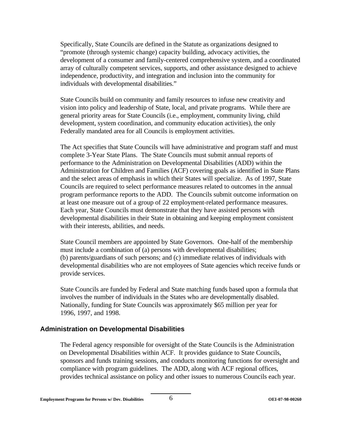Specifically, State Councils are defined in the Statute as organizations designed to "promote (through systemic change) capacity building, advocacy activities, the development of a consumer and family-centered comprehensive system, and a coordinated array of culturally competent services, supports, and other assistance designed to achieve independence, productivity, and integration and inclusion into the community for individuals with developmental disabilities."

State Councils build on community and family resources to infuse new creativity and vision into policy and leadership of State, local, and private programs. While there are general priority areas for State Councils (i.e., employment, community living, child development, system coordination, and community education activities), the only Federally mandated area for all Councils is employment activities.

The Act specifies that State Councils will have administrative and program staff and must complete 3-Year State Plans. The State Councils must submit annual reports of performance to the Administration on Developmental Disabilities (ADD) within the Administration for Children and Families (ACF) covering goals as identified in State Plans and the select areas of emphasis in which their States will specialize. As of 1997, State Councils are required to select performance measures related to outcomes in the annual program performance reports to the ADD. The Councils submit outcome information on at least one measure out of a group of 22 employment-related performance measures. Each year, State Councils must demonstrate that they have assisted persons with developmental disabilities in their State in obtaining and keeping employment consistent with their interests, abilities, and needs.

State Council members are appointed by State Governors. One-half of the membership must include a combination of (a) persons with developmental disabilities; (b) parents/guardians of such persons; and (c) immediate relatives of individuals with developmental disabilities who are not employees of State agencies which receive funds or provide services.

State Councils are funded by Federal and State matching funds based upon a formula that involves the number of individuals in the States who are developmentally disabled. Nationally, funding for State Councils was approximately \$65 million per year for 1996, 1997, and 1998.

#### **Administration on Developmental Disabilities**

The Federal agency responsible for oversight of the State Councils is the Administration on Developmental Disabilities within ACF. It provides guidance to State Councils, sponsors and funds training sessions, and conducts monitoring functions for oversight and compliance with program guidelines. The ADD, along with ACF regional offices, provides technical assistance on policy and other issues to numerous Councils each year.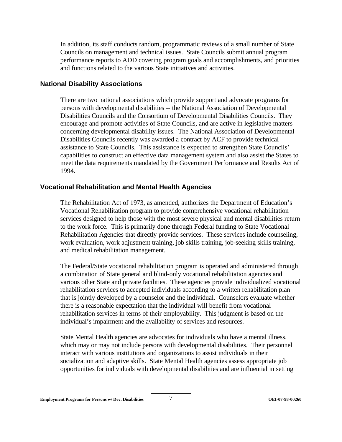In addition, its staff conducts random, programmatic reviews of a small number of State Councils on management and technical issues. State Councils submit annual program performance reports to ADD covering program goals and accomplishments, and priorities and functions related to the various State initiatives and activities.

#### **National Disability Associations**

There are two national associations which provide support and advocate programs for persons with developmental disabilities -- the National Association of Developmental Disabilities Councils and the Consortium of Developmental Disabilities Councils. They encourage and promote activities of State Councils, and are active in legislative matters concerning developmental disability issues. The National Association of Developmental Disabilities Councils recently was awarded a contract by ACF to provide technical assistance to State Councils. This assistance is expected to strengthen State Councils' capabilities to construct an effective data management system and also assist the States to meet the data requirements mandated by the Government Performance and Results Act of 1994.

#### **Vocational Rehabilitation and Mental Health Agencies**

The Rehabilitation Act of 1973, as amended, authorizes the Department of Education's Vocational Rehabilitation program to provide comprehensive vocational rehabilitation services designed to help those with the most severe physical and mental disabilities return to the work force. This is primarily done through Federal funding to State Vocational Rehabilitation Agencies that directly provide services. These services include counseling, work evaluation, work adjustment training, job skills training, job-seeking skills training, and medical rehabilitation management.

The Federal/State vocational rehabilitation program is operated and administered through a combination of State general and blind-only vocational rehabilitation agencies and various other State and private facilities. These agencies provide individualized vocational rehabilitation services to accepted individuals according to a written rehabilitation plan that is jointly developed by a counselor and the individual. Counselors evaluate whether there is a reasonable expectation that the individual will benefit from vocational rehabilitation services in terms of their employability. This judgment is based on the individual's impairment and the availability of services and resources.

State Mental Health agencies are advocates for individuals who have a mental illness, which may or may not include persons with developmental disabilities. Their personnel interact with various institutions and organizations to assist individuals in their socialization and adaptive skills. State Mental Health agencies assess appropriate job opportunities for individuals with developmental disabilities and are influential in setting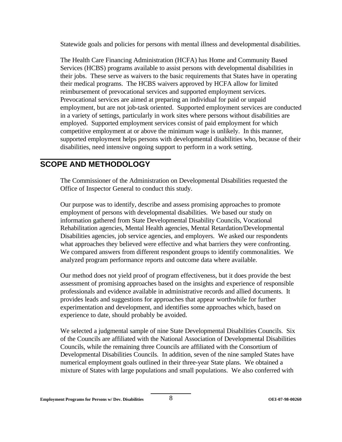Statewide goals and policies for persons with mental illness and developmental disabilities.

The Health Care Financing Administration (HCFA) has Home and Community Based Services (HCBS) programs available to assist persons with developmental disabilities in their jobs. These serve as waivers to the basic requirements that States have in operating their medical programs. The HCBS waivers approved by HCFA allow for limited reimbursement of prevocational services and supported employment services. Prevocational services are aimed at preparing an individual for paid or unpaid employment, but are not job-task oriented. Supported employment services are conducted in a variety of settings, particularly in work sites where persons without disabilities are employed. Supported employment services consist of paid employment for which competitive employment at or above the minimum wage is unlikely. In this manner, supported employment helps persons with developmental disabilities who, because of their disabilities, need intensive ongoing support to perform in a work setting.

### **SCOPE AND METHODOLOGY**

The Commissioner of the Administration on Developmental Disabilities requested the Office of Inspector General to conduct this study.

Our purpose was to identify, describe and assess promising approaches to promote employment of persons with developmental disabilities. We based our study on information gathered from State Developmental Disability Councils, Vocational Rehabilitation agencies, Mental Health agencies, Mental Retardation/Developmental Disabilities agencies, job service agencies, and employers. We asked our respondents what approaches they believed were effective and what barriers they were confronting. We compared answers from different respondent groups to identify commonalities. We analyzed program performance reports and outcome data where available.

Our method does not yield proof of program effectiveness, but it does provide the best assessment of promising approaches based on the insights and experience of responsible professionals and evidence available in administrative records and allied documents. It provides leads and suggestions for approaches that appear worthwhile for further experimentation and development, and identifies some approaches which, based on experience to date, should probably be avoided.

We selected a judgmental sample of nine State Developmental Disabilities Councils. Six of the Councils are affiliated with the National Association of Developmental Disabilities Councils, while the remaining three Councils are affiliated with the Consortium of Developmental Disabilities Councils. In addition, seven of the nine sampled States have numerical employment goals outlined in their three-year State plans. We obtained a mixture of States with large populations and small populations. We also conferred with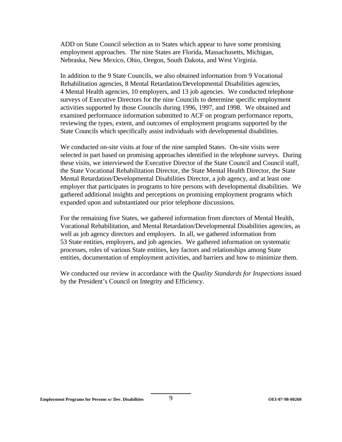ADD on State Council selection as to States which appear to have some promising employment approaches. The nine States are Florida, Massachusetts, Michigan, Nebraska, New Mexico, Ohio, Oregon, South Dakota, and West Virginia.

In addition to the 9 State Councils, we also obtained information from 9 Vocational Rehabilitation agencies, 8 Mental Retardation/Developmental Disabilities agencies, 4 Mental Health agencies, 10 employers, and 13 job agencies. We conducted telephone surveys of Executive Directors for the nine Councils to determine specific employment activities supported by those Councils during 1996, 1997, and 1998. We obtained and examined performance information submitted to ACF on program performance reports, reviewing the types, extent, and outcomes of employment programs supported by the State Councils which specifically assist individuals with developmental disabilities.

We conducted on-site visits at four of the nine sampled States. On-site visits were selected in part based on promising approaches identified in the telephone surveys. During these visits, we interviewed the Executive Director of the State Council and Council staff, the State Vocational Rehabilitation Director, the State Mental Health Director, the State Mental Retardation/Developmental Disabilities Director, a job agency, and at least one employer that participates in programs to hire persons with developmental disabilities. We gathered additional insights and perceptions on promising employment programs which expanded upon and substantiated our prior telephone discussions.

For the remaining five States, we gathered information from directors of Mental Health, Vocational Rehabilitation, and Mental Retardation/Developmental Disabilities agencies, as well as job agency directors and employers. In all, we gathered information from 53 State entities, employers, and job agencies. We gathered information on systematic processes, roles of various State entities, key factors and relationships among State entities, documentation of employment activities, and barriers and how to minimize them.

We conducted our review in accordance with the *Quality Standards for Inspections* issued by the President's Council on Integrity and Efficiency.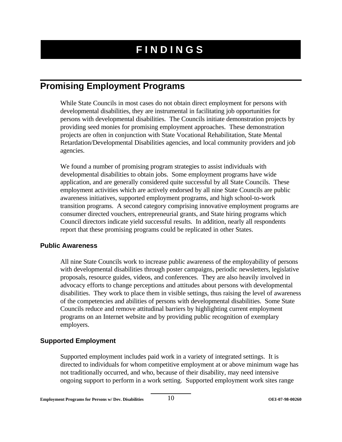# **FINDINGS**

# **Promising Employment Programs**

While State Councils in most cases do not obtain direct employment for persons with developmental disabilities, they are instrumental in facilitating job opportunities for persons with developmental disabilities. The Councils initiate demonstration projects by providing seed monies for promising employment approaches. These demonstration projects are often in conjunction with State Vocational Rehabilitation, State Mental Retardation/Developmental Disabilities agencies, and local community providers and job agencies.

We found a number of promising program strategies to assist individuals with developmental disabilities to obtain jobs. Some employment programs have wide application, and are generally considered quite successful by all State Councils. These employment activities which are actively endorsed by all nine State Councils are public awareness initiatives, supported employment programs, and high school-to-work transition programs. A second category comprising innovative employment programs are consumer directed vouchers, entrepreneurial grants, and State hiring programs which Council directors indicate yield successful results. In addition, nearly all respondents report that these promising programs could be replicated in other States.

#### **Public Awareness**

All nine State Councils work to increase public awareness of the employability of persons with developmental disabilities through poster campaigns, periodic newsletters, legislative proposals, resource guides, videos, and conferences. They are also heavily involved in advocacy efforts to change perceptions and attitudes about persons with developmental disabilities. They work to place them in visible settings, thus raising the level of awareness of the competencies and abilities of persons with developmental disabilities. Some State Councils reduce and remove attitudinal barriers by highlighting current employment programs on an Internet website and by providing public recognition of exemplary employers.

#### **Supported Employment**

Supported employment includes paid work in a variety of integrated settings. It is directed to individuals for whom competitive employment at or above minimum wage has not traditionally occurred, and who, because of their disability, may need intensive ongoing support to perform in a work setting. Supported employment work sites range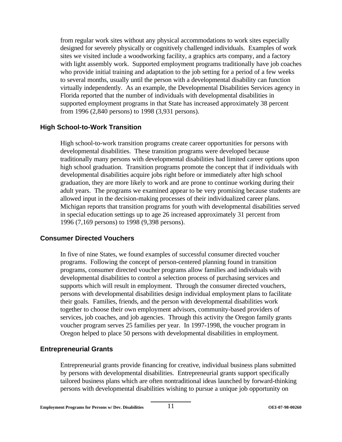from regular work sites without any physical accommodations to work sites especially designed for severely physically or cognitively challenged individuals. Examples of work sites we visited include a woodworking facility, a graphics arts company, and a factory with light assembly work. Supported employment programs traditionally have job coaches who provide initial training and adaptation to the job setting for a period of a few weeks to several months, usually until the person with a developmental disability can function virtually independently. As an example, the Developmental Disabilities Services agency in Florida reported that the number of individuals with developmental disabilities in supported employment programs in that State has increased approximately 38 percent from 1996 (2,840 persons) to 1998 (3,931 persons).

#### **High School-to-Work Transition**

High school-to-work transition programs create career opportunities for persons with developmental disabilities. These transition programs were developed because traditionally many persons with developmental disabilities had limited career options upon high school graduation. Transition programs promote the concept that if individuals with developmental disabilities acquire jobs right before or immediately after high school graduation, they are more likely to work and are prone to continue working during their adult years. The programs we examined appear to be very promising because students are allowed input in the decision-making processes of their individualized career plans. Michigan reports that transition programs for youth with developmental disabilities served in special education settings up to age 26 increased approximately 31 percent from 1996 (7,169 persons) to 1998 (9,398 persons).

#### **Consumer Directed Vouchers**

In five of nine States, we found examples of successful consumer directed voucher programs. Following the concept of person-centered planning found in transition programs, consumer directed voucher programs allow families and individuals with developmental disabilities to control a selection process of purchasing services and supports which will result in employment. Through the consumer directed vouchers, persons with developmental disabilities design individual employment plans to facilitate their goals. Families, friends, and the person with developmental disabilities work together to choose their own employment advisors, community-based providers of services, job coaches, and job agencies. Through this activity the Oregon family grants voucher program serves 25 families per year. In 1997-1998, the voucher program in Oregon helped to place 50 persons with developmental disabilities in employment.

#### **Entrepreneurial Grants**

Entrepreneurial grants provide financing for creative, individual business plans submitted by persons with developmental disabilities. Entrepreneurial grants support specifically tailored business plans which are often nontraditional ideas launched by forward-thinking persons with developmental disabilities wishing to pursue a unique job opportunity on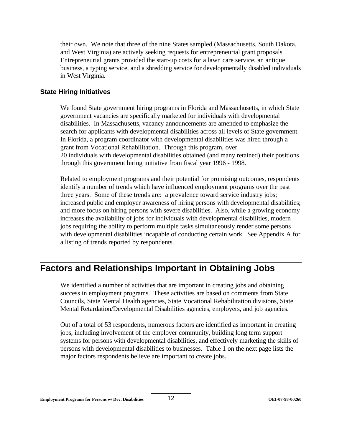their own. We note that three of the nine States sampled (Massachusetts, South Dakota, and West Virginia) are actively seeking requests for entrepreneurial grant proposals. Entrepreneurial grants provided the start-up costs for a lawn care service, an antique business, a typing service, and a shredding service for developmentally disabled individuals in West Virginia.

#### **State Hiring Initiatives**

We found State government hiring programs in Florida and Massachusetts, in which State government vacancies are specifically marketed for individuals with developmental disabilities. In Massachusetts, vacancy announcements are amended to emphasize the search for applicants with developmental disabilities across all levels of State government. In Florida, a program coordinator with developmental disabilities was hired through a grant from Vocational Rehabilitation. Through this program, over 20 individuals with developmental disabilities obtained (and many retained) their positions through this government hiring initiative from fiscal year 1996 - 1998.

Related to employment programs and their potential for promising outcomes, respondents identify a number of trends which have influenced employment programs over the past three years. Some of these trends are: a prevalence toward service industry jobs; increased public and employer awareness of hiring persons with developmental disabilities; and more focus on hiring persons with severe disabilities. Also, while a growing economy increases the availability of jobs for individuals with developmental disabilities, modern jobs requiring the ability to perform multiple tasks simultaneously render some persons with developmental disabilities incapable of conducting certain work. See Appendix A for a listing of trends reported by respondents.

# **Factors and Relationships Important in Obtaining Jobs**

We identified a number of activities that are important in creating jobs and obtaining success in employment programs. These activities are based on comments from State Councils, State Mental Health agencies, State Vocational Rehabilitation divisions, State Mental Retardation/Developmental Disabilities agencies, employers, and job agencies.

Out of a total of 53 respondents, numerous factors are identified as important in creating jobs, including involvement of the employer community, building long term support systems for persons with developmental disabilities, and effectively marketing the skills of persons with developmental disabilities to businesses. Table 1 on the next page lists the major factors respondents believe are important to create jobs.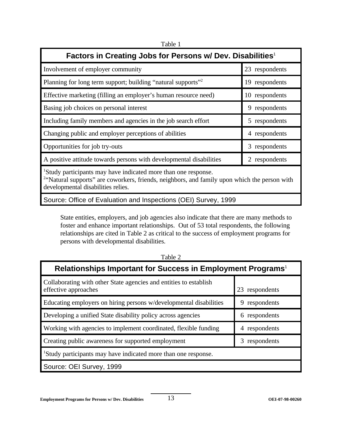Table 1

| Factors in Creating Jobs for Persons w/ Dev. Disabilities <sup>1</sup>                                                                                                                                                       |                |  |
|------------------------------------------------------------------------------------------------------------------------------------------------------------------------------------------------------------------------------|----------------|--|
| Involvement of employer community                                                                                                                                                                                            | 23 respondents |  |
| Planning for long term support; building "natural supports" <sup>2</sup>                                                                                                                                                     | 19 respondents |  |
| Effective marketing (filling an employer's human resource need)                                                                                                                                                              | 10 respondents |  |
| Basing job choices on personal interest                                                                                                                                                                                      | 9 respondents  |  |
| Including family members and agencies in the job search effort                                                                                                                                                               | 5 respondents  |  |
| Changing public and employer perceptions of abilities                                                                                                                                                                        | 4 respondents  |  |
| Opportunities for job try-outs                                                                                                                                                                                               | 3 respondents  |  |
| A positive attitude towards persons with developmental disabilities                                                                                                                                                          | 2 respondents  |  |
| <sup>1</sup> Study participants may have indicated more than one response.<br><sup>2</sup> "Natural supports" are coworkers, friends, neighbors, and family upon which the person with<br>developmental disabilities relies. |                |  |

Source: Office of Evaluation and Inspections (OEI) Survey, 1999

State entities, employers, and job agencies also indicate that there are many methods to foster and enhance important relationships. Out of 53 total respondents, the following relationships are cited in Table 2 as critical to the success of employment programs for persons with developmental disabilities.

| Relationships Important for Success in Employment Programs <sup>1</sup>                   |                   |  |
|-------------------------------------------------------------------------------------------|-------------------|--|
| Collaborating with other State agencies and entities to establish<br>effective approaches | respondents<br>23 |  |
| Educating employers on hiring persons w/developmental disabilities                        | respondents<br>9  |  |
| Developing a unified State disability policy across agencies                              | respondents<br>6  |  |
| Working with agencies to implement coordinated, flexible funding                          | respondents<br>4  |  |
| Creating public awareness for supported employment                                        | respondents<br>3  |  |
| <sup>1</sup> Study participants may have indicated more than one response.                |                   |  |
| Source: OEI Survey, 1999                                                                  |                   |  |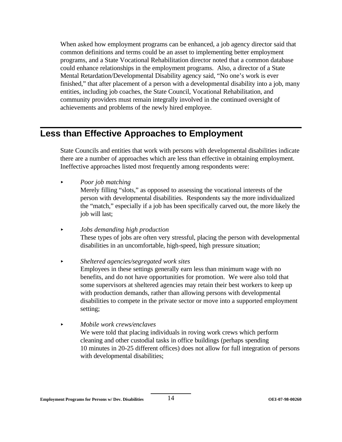When asked how employment programs can be enhanced, a job agency director said that common definitions and terms could be an asset to implementing better employment programs, and a State Vocational Rehabilitation director noted that a common database could enhance relationships in the employment programs. Also, a director of a State Mental Retardation/Developmental Disability agency said, "No one's work is ever finished," that after placement of a person with a developmental disability into a job, many entities, including job coaches, the State Council, Vocational Rehabilitation, and community providers must remain integrally involved in the continued oversight of achievements and problems of the newly hired employee.

# **Less than Effective Approaches to Employment**

State Councils and entities that work with persons with developmental disabilities indicate there are a number of approaches which are less than effective in obtaining employment. Ineffective approaches listed most frequently among respondents were:

< *Poor job matching* 

Merely filling "slots," as opposed to assessing the vocational interests of the person with developmental disabilities. Respondents say the more individualized the "match," especially if a job has been specifically carved out, the more likely the job will last;

< *Jobs demanding high production*  These types of jobs are often very stressful, placing the person with developmental disabilities in an uncomfortable, high-speed, high pressure situation;

< *Sheltered agencies/segregated work sites* 

Employees in these settings generally earn less than minimum wage with no benefits, and do not have opportunities for promotion. We were also told that some supervisors at sheltered agencies may retain their best workers to keep up with production demands, rather than allowing persons with developmental disabilities to compete in the private sector or move into a supported employment setting;

< *Mobile work crews/enclaves* 

We were told that placing individuals in roving work crews which perform cleaning and other custodial tasks in office buildings (perhaps spending 10 minutes in 20-25 different offices) does not allow for full integration of persons with developmental disabilities;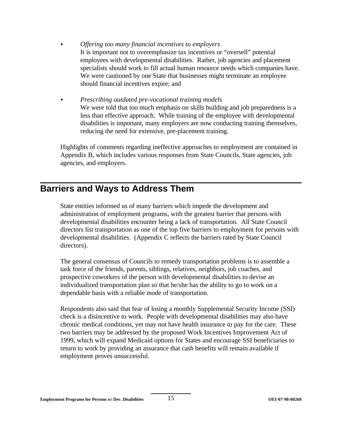- < *Offering too many financial incentives to employers*  It is important not to overemphasize tax incentives or "oversell" potential employees with developmental disabilities. Rather, job agencies and placement specialists should work to fill actual human resource needs which companies have. We were cautioned by one State that businesses might terminate an employee should financial incentives expire; and
- < *Prescribing outdated pre-vocational training models*  We were told that too much emphasis on skills building and job preparedness is a less than effective approach. While training of the employee with developmental disabilities is important, many employers are now conducting training themselves, reducing the need for extensive, pre-placement training.

Highlights of comments regarding ineffective approaches to employment are contained in Appendix B, which includes various responses from State Councils, State agencies, job agencies, and employers.

# **Barriers and Ways to Address Them**

State entities informed us of many barriers which impede the development and administration of employment programs, with the greatest barrier that persons with developmental disabilities encounter being a lack of transportation. All State Council directors list transportation as one of the top five barriers to employment for persons with developmental disabilities. (Appendix C reflects the barriers rated by State Council directors).

The general consensus of Councils to remedy transportation problems is to assemble a task force of the friends, parents, siblings, relatives, neighbors, job coaches, and prospective coworkers of the person with developmental disabilities to devise an individualized transportation plan so that he/she has the ability to go to work on a dependable basis with a reliable mode of transportation.

Respondents also said that fear of losing a monthly Supplemental Security Income (SSI) check is a disincentive to work. People with developmental disabilities may also have chronic medical conditions, yet may not have health insurance to pay for the care. These two barriers may be addressed by the proposed Work Incentives Improvement Act of 1999, which will expand Medicaid options for States and encourage SSI beneficiaries to return to work by providing an assurance that cash benefits will remain available if employment proves unsuccessful.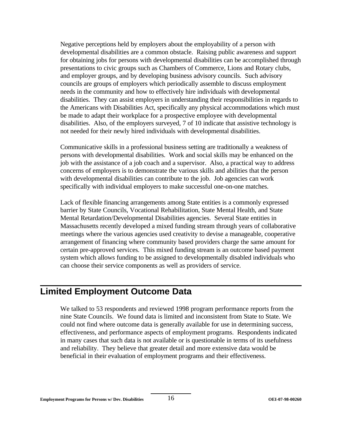Negative perceptions held by employers about the employability of a person with developmental disabilities are a common obstacle. Raising public awareness and support for obtaining jobs for persons with developmental disabilities can be accomplished through presentations to civic groups such as Chambers of Commerce, Lions and Rotary clubs, and employer groups, and by developing business advisory councils. Such advisory councils are groups of employers which periodically assemble to discuss employment needs in the community and how to effectively hire individuals with developmental disabilities. They can assist employers in understanding their responsibilities in regards to the Americans with Disabilities Act, specifically any physical accommodations which must be made to adapt their workplace for a prospective employee with developmental disabilities. Also, of the employers surveyed, 7 of 10 indicate that assistive technology is not needed for their newly hired individuals with developmental disabilities.

Communicative skills in a professional business setting are traditionally a weakness of persons with developmental disabilities. Work and social skills may be enhanced on the job with the assistance of a job coach and a supervisor. Also, a practical way to address concerns of employers is to demonstrate the various skills and abilities that the person with developmental disabilities can contribute to the job. Job agencies can work specifically with individual employers to make successful one-on-one matches.

Lack of flexible financing arrangements among State entities is a commonly expressed barrier by State Councils, Vocational Rehabilitation, State Mental Health, and State Mental Retardation/Developmental Disabilities agencies. Several State entities in Massachusetts recently developed a mixed funding stream through years of collaborative meetings where the various agencies used creativity to devise a manageable, cooperative arrangement of financing where community based providers charge the same amount for certain pre-approved services. This mixed funding stream is an outcome based payment system which allows funding to be assigned to developmentally disabled individuals who can choose their service components as well as providers of service.

# **Limited Employment Outcome Data**

We talked to 53 respondents and reviewed 1998 program performance reports from the nine State Councils. We found data is limited and inconsistent from State to State. We could not find where outcome data is generally available for use in determining success, effectiveness, and performance aspects of employment programs. Respondents indicated in many cases that such data is not available or is questionable in terms of its usefulness and reliability. They believe that greater detail and more extensive data would be beneficial in their evaluation of employment programs and their effectiveness.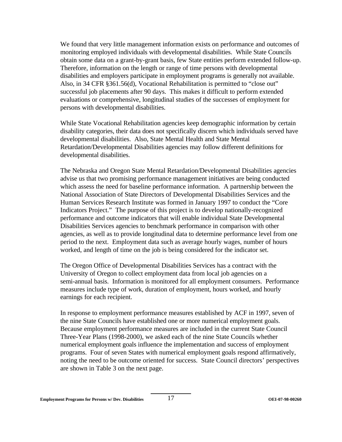We found that very little management information exists on performance and outcomes of monitoring employed individuals with developmental disabilities. While State Councils obtain some data on a grant-by-grant basis, few State entities perform extended follow-up. Therefore, information on the length or range of time persons with developmental disabilities and employers participate in employment programs is generally not available. Also, in 34 CFR §361.56(d), Vocational Rehabilitation is permitted to "close out" successful job placements after 90 days. This makes it difficult to perform extended evaluations or comprehensive, longitudinal studies of the successes of employment for persons with developmental disabilities.

While State Vocational Rehabilitation agencies keep demographic information by certain disability categories, their data does not specifically discern which individuals served have developmental disabilities. Also, State Mental Health and State Mental Retardation/Developmental Disabilities agencies may follow different definitions for developmental disabilities.

The Nebraska and Oregon State Mental Retardation/Developmental Disabilities agencies advise us that two promising performance management initiatives are being conducted which assess the need for baseline performance information. A partnership between the National Association of State Directors of Developmental Disabilities Services and the Human Services Research Institute was formed in January 1997 to conduct the "Core Indicators Project." The purpose of this project is to develop nationally-recognized performance and outcome indicators that will enable individual State Developmental Disabilities Services agencies to benchmark performance in comparison with other agencies, as well as to provide longitudinal data to determine performance level from one period to the next. Employment data such as average hourly wages, number of hours worked, and length of time on the job is being considered for the indicator set.

The Oregon Office of Developmental Disabilities Services has a contract with the University of Oregon to collect employment data from local job agencies on a semi-annual basis. Information is monitored for all employment consumers. Performance measures include type of work, duration of employment, hours worked, and hourly earnings for each recipient.

In response to employment performance measures established by ACF in 1997, seven of the nine State Councils have established one or more numerical employment goals. Because employment performance measures are included in the current State Council Three-Year Plans (1998-2000), we asked each of the nine State Councils whether numerical employment goals influence the implementation and success of employment programs. Four of seven States with numerical employment goals respond affirmatively, noting the need to be outcome oriented for success. State Council directors' perspectives are shown in Table 3 on the next page.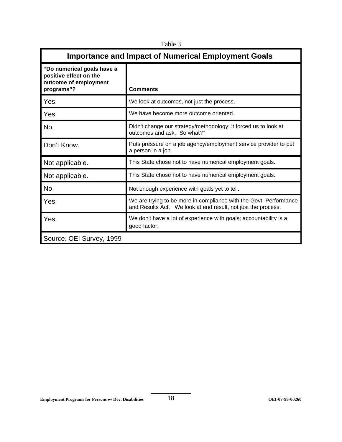| <b>Importance and Impact of Numerical Employment Goals</b>                                  |                                                                                                                                    |  |
|---------------------------------------------------------------------------------------------|------------------------------------------------------------------------------------------------------------------------------------|--|
| "Do numerical goals have a<br>positive effect on the<br>outcome of employment<br>programs"? | <b>Comments</b>                                                                                                                    |  |
| Yes.                                                                                        | We look at outcomes, not just the process.                                                                                         |  |
| Yes.                                                                                        | We have become more outcome oriented.                                                                                              |  |
| No.                                                                                         | Didn't change our strategy/methodology; it forced us to look at<br>outcomes and ask, "So what?"                                    |  |
| Don't Know.                                                                                 | Puts pressure on a job agency/employment service provider to put<br>a person in a job.                                             |  |
| Not applicable.                                                                             | This State chose not to have numerical employment goals.                                                                           |  |
| Not applicable.                                                                             | This State chose not to have numerical employment goals.                                                                           |  |
| No.                                                                                         | Not enough experience with goals yet to tell.                                                                                      |  |
| Yes.                                                                                        | We are trying to be more in compliance with the Govt. Performance<br>and Results Act. We look at end result, not just the process. |  |
| Yes.                                                                                        | We don't have a lot of experience with goals; accountability is a<br>good factor.                                                  |  |
| Source: OEI Survey, 1999                                                                    |                                                                                                                                    |  |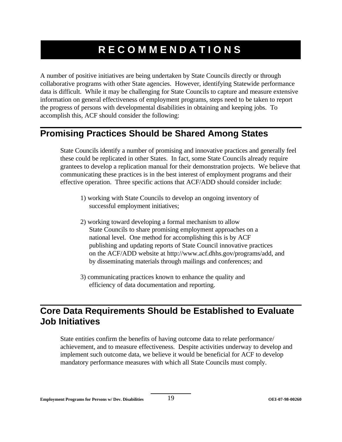# **RECOMMENDATIONS**

A number of positive initiatives are being undertaken by State Councils directly or through collaborative programs with other State agencies. However, identifying Statewide performance data is difficult. While it may be challenging for State Councils to capture and measure extensive information on general effectiveness of employment programs, steps need to be taken to report the progress of persons with developmental disabilities in obtaining and keeping jobs. To accomplish this, ACF should consider the following:

# **Promising Practices Should be Shared Among States**

State Councils identify a number of promising and innovative practices and generally feel these could be replicated in other States. In fact, some State Councils already require grantees to develop a replication manual for their demonstration projects. We believe that communicating these practices is in the best interest of employment programs and their effective operation. Three specific actions that ACF/ADD should consider include:

- 1) working with State Councils to develop an ongoing inventory of successful employment initiatives;
- 2) working toward developing a formal mechanism to allow State Councils to share promising employment approaches on a national level. One method for accomplishing this is by ACF publishing and updating reports of State Council innovative practices on the ACF/ADD website at http://www.acf.dhhs.gov/programs/add, and by disseminating materials through mailings and conferences; and
- 3) communicating practices known to enhance the quality and efficiency of data documentation and reporting.

# **Core Data Requirements Should be Established to Evaluate Job Initiatives**

State entities confirm the benefits of having outcome data to relate performance/ achievement, and to measure effectiveness. Despite activities underway to develop and implement such outcome data, we believe it would be beneficial for ACF to develop mandatory performance measures with which all State Councils must comply.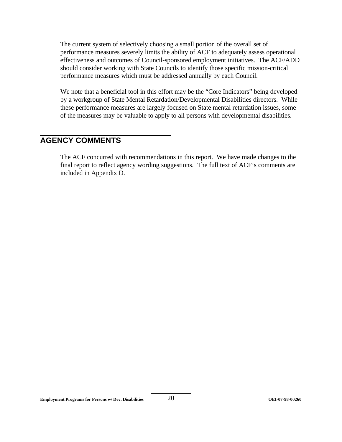The current system of selectively choosing a small portion of the overall set of performance measures severely limits the ability of ACF to adequately assess operational effectiveness and outcomes of Council-sponsored employment initiatives. The ACF/ADD should consider working with State Councils to identify those specific mission-critical performance measures which must be addressed annually by each Council.

We note that a beneficial tool in this effort may be the "Core Indicators" being developed by a workgroup of State Mental Retardation/Developmental Disabilities directors. While these performance measures are largely focused on State mental retardation issues, some of the measures may be valuable to apply to all persons with developmental disabilities.

### **AGENCY COMMENTS**

The ACF concurred with recommendations in this report. We have made changes to the final report to reflect agency wording suggestions. The full text of ACF's comments are included in Appendix D.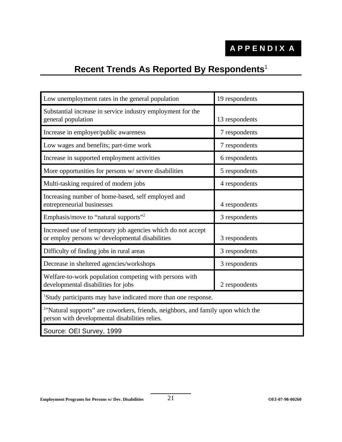# **Recent Trends As Reported By Respondents**<sup>1</sup>

| Low unemployment rates in the general population                                                                                               | 19 respondents |  |
|------------------------------------------------------------------------------------------------------------------------------------------------|----------------|--|
| Substantial increase in service industry employment for the<br>general population                                                              | 13 respondents |  |
| Increase in employer/public awareness                                                                                                          | 7 respondents  |  |
| Low wages and benefits; part-time work                                                                                                         | 7 respondents  |  |
| Increase in supported employment activities                                                                                                    | 6 respondents  |  |
| More opportunities for persons w/severe disabilities                                                                                           | 5 respondents  |  |
| Multi-tasking required of modern jobs                                                                                                          | 4 respondents  |  |
| Increasing number of home-based, self employed and<br>entrepreneurial businesses                                                               | 4 respondents  |  |
| Emphasis/move to "natural supports" <sup>2</sup>                                                                                               | 3 respondents  |  |
| Increased use of temporary job agencies which do not accept<br>or employ persons w/ developmental disabilities                                 | 3 respondents  |  |
| Difficulty of finding jobs in rural areas                                                                                                      | 3 respondents  |  |
| Decrease in sheltered agencies/workshops                                                                                                       | 3 respondents  |  |
| Welfare-to-work population competing with persons with<br>developmental disabilities for jobs                                                  | 2 respondents  |  |
| <sup>1</sup> Study participants may have indicated more than one response.                                                                     |                |  |
| <sup>2</sup> "Natural supports" are coworkers, friends, neighbors, and family upon which the<br>person with developmental disabilities relies. |                |  |
| Source: OEI Survey, 1999                                                                                                                       |                |  |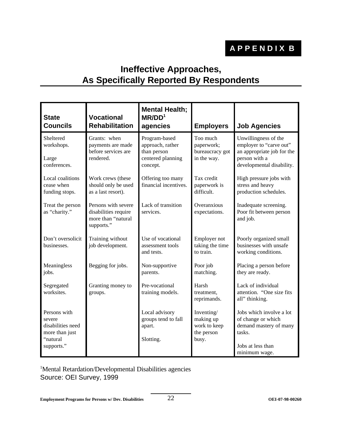# **Ineffective Approaches, As Specifically Reported By Respondents**

| <b>State</b><br><b>Councils</b>                                                         | <b>Vocational</b><br><b>Rehabilitation</b>                                      | <b>Mental Health;</b><br>MR/DD <sup>1</sup><br>agencies                           | <b>Employers</b>                                               | <b>Job Agencies</b>                                                                                                         |
|-----------------------------------------------------------------------------------------|---------------------------------------------------------------------------------|-----------------------------------------------------------------------------------|----------------------------------------------------------------|-----------------------------------------------------------------------------------------------------------------------------|
| Sheltered<br>workshops.<br>Large<br>conferences.                                        | Grants: when<br>payments are made<br>before services are<br>rendered.           | Program-based<br>approach, rather<br>than person<br>centered planning<br>concept. | Too much<br>paperwork;<br>bureaucracy got<br>in the way.       | Unwillingness of the<br>employer to "carve out"<br>an appropriate job for the<br>person with a<br>developmental disability. |
| Local coalitions<br>cease when<br>funding stops.                                        | Work crews (these<br>should only be used<br>as a last resort).                  | Offering too many<br>financial incentives.                                        | Tax credit<br>paperwork is<br>difficult.                       | High pressure jobs with<br>stress and heavy<br>production schedules.                                                        |
| Treat the person<br>as "charity."                                                       | Persons with severe<br>disabilities require<br>more than "natural<br>supports." | Lack of transition<br>services.                                                   | Overanxious<br>expectations.                                   | Inadequate screening.<br>Poor fit between person<br>and job.                                                                |
| Don't oversolicit<br>businesses.                                                        | Training without<br>job development.                                            | Use of vocational<br>assessment tools<br>and tests.                               | Employer not<br>taking the time<br>to train.                   | Poorly organized small<br>businesses with unsafe<br>working conditions.                                                     |
| Meaningless<br>jobs.                                                                    | Begging for jobs.                                                               | Non-supportive<br>parents.                                                        | Poor job<br>matching.                                          | Placing a person before<br>they are ready.                                                                                  |
| Segregated<br>worksites.                                                                | Granting money to<br>groups.                                                    | Pre-vocational<br>training models.                                                | Harsh<br>treatment,<br>reprimands.                             | Lack of individual<br>attention. "One size fits<br>all" thinking.                                                           |
| Persons with<br>severe<br>disabilities need<br>more than just<br>"natural<br>supports." |                                                                                 | Local advisory<br>groups tend to fall<br>apart.<br>Slotting.                      | Inventing/<br>making up<br>work to keep<br>the person<br>busy. | Jobs which involve a lot<br>of change or which<br>demand mastery of many<br>tasks.<br>Jobs at less than<br>minimum wage.    |

<sup>1</sup>Mental Retardation/Developmental Disabilities agencies Source: OEI Survey, 1999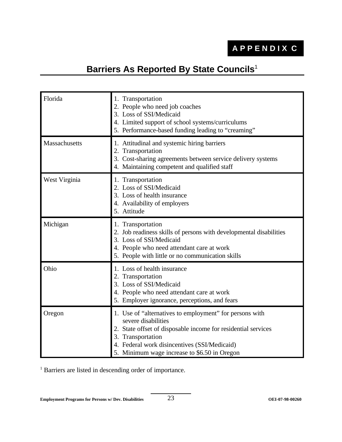# **Barriers As Reported By State Councils**<sup>1</sup>

| Florida       | 1. Transportation<br>2. People who need job coaches<br>3. Loss of SSI/Medicaid<br>4. Limited support of school systems/curriculums<br>5. Performance-based funding leading to "creaming"                                                                             |
|---------------|----------------------------------------------------------------------------------------------------------------------------------------------------------------------------------------------------------------------------------------------------------------------|
| Massachusetts | 1. Attitudinal and systemic hiring barriers<br>2. Transportation<br>3. Cost-sharing agreements between service delivery systems<br>4. Maintaining competent and qualified staff                                                                                      |
| West Virginia | 1. Transportation<br>2. Loss of SSI/Medicaid<br>3. Loss of health insurance<br>4. Availability of employers<br>5. Attitude                                                                                                                                           |
| Michigan      | 1. Transportation<br>2. Job readiness skills of persons with developmental disabilities<br>3. Loss of SSI/Medicaid<br>4. People who need attendant care at work<br>5. People with little or no communication skills                                                  |
| Ohio          | 1. Loss of health insurance<br>2. Transportation<br>3. Loss of SSI/Medicaid<br>4. People who need attendant care at work<br>5. Employer ignorance, perceptions, and fears                                                                                            |
| Oregon        | 1. Use of "alternatives to employment" for persons with<br>severe disabilities<br>2. State offset of disposable income for residential services<br>3. Transportation<br>4. Federal work disincentives (SSI/Medicaid)<br>5. Minimum wage increase to \$6.50 in Oregon |

<sup>1</sup> Barriers are listed in descending order of importance.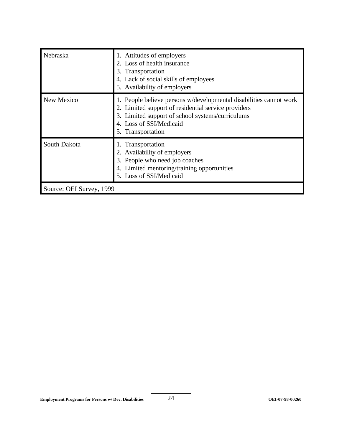| Nebraska                 | 1. Attitudes of employers<br>2. Loss of health insurance<br>3. Transportation<br>4. Lack of social skills of employees<br>5. Availability of employers                                                                        |
|--------------------------|-------------------------------------------------------------------------------------------------------------------------------------------------------------------------------------------------------------------------------|
| New Mexico               | 1. People believe persons w/developmental disabilities cannot work<br>2. Limited support of residential service providers<br>3. Limited support of school systems/curriculums<br>4. Loss of SSI/Medicaid<br>5. Transportation |
| South Dakota             | 1. Transportation<br>2. Availability of employers<br>3. People who need job coaches<br>4. Limited mentoring/training opportunities<br>5. Loss of SSI/Medicaid                                                                 |
| Source: OEI Survey, 1999 |                                                                                                                                                                                                                               |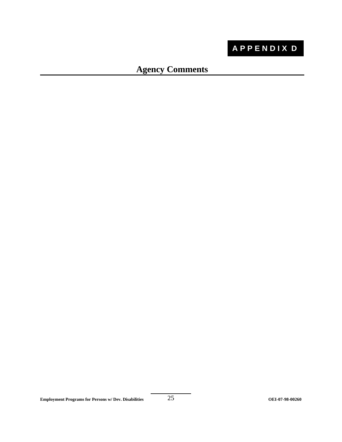# **APPENDIX D**

# **Agency Comments**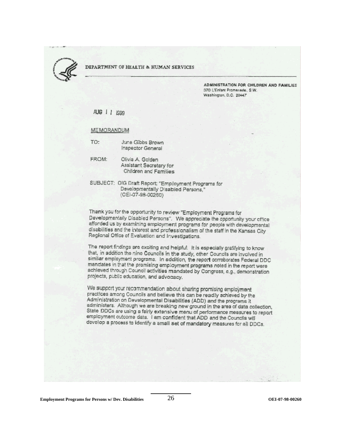

#### DEPARTMENT OF HEALTH & HUMAN SERVICES

ADMINISTRATION FOR CHILDREN AND FAMILIES 370 L'Enfant Promenade, S.W. Washington, D.C. 20447

AUG 1 1 1999

#### MEMORANDUM

TO: June Gibbs Brown Inspector General

FROM:

Olivia A. Golden Assistant Secretary for Children and Families

SUBJECT: OIG Draft Report: "Employment Programs for Developmentally Disabled Persons," (OEI-07-98-00260)

Thank you for the opportunity to review "Employment Programs for Developmentally Disabled Persons". We appreciate the opportunity your office afforded us by examining employment programs for people with developmental disabilities and the interest and professionalism of the staff in the Kansas City Regional Office of Evaluation and Investigations.

The report findings are exciting and helpful. It is especially grafifying to know that, in addition the nine Councils in the study, other Councils are involved in similar employment programs. In addition, the report corroborates Federal DDC mandates in that the promising employment programs noted in the report were achieved through Council activities mandated by Congress, e.g., demonstration projects, public education, and advocacy.

We support your recommendation about sharing promising employment practices among Councils and believe this can be readily achieved by the Administration on Developmental Disabilities (ADD) and the programs it administers. Although we are breaking new ground in the area of data collection, State DDCs are using a fairly extensive menu of performance measures to report employment outcome data. I am confident that ADD and the Councils will develop a process to identify a small set of mandatory measures for all DDCs.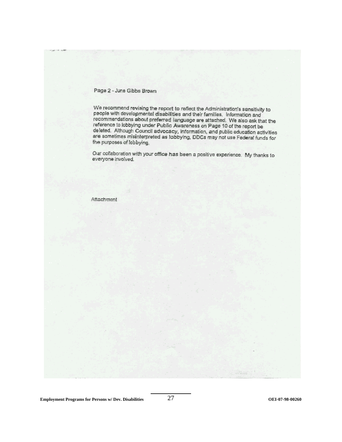#### Page 2 - June Gibbs Brown

We recommend revising the report to reflect the Administration's sensitivity to people with developmental disabilities and their families. Information and recommendations about preferred language are attached. We also ask that the reference to lobbying under Public Awareness on Page 10 of the report be deleted. Although Council advocacy, information, and public education activities are sometimes misinterpreted as lobbying, DDCs may not use Federal funds for the purposes of lobbying.

Our collaboration with your office has been a positive experience. My thanks to everyone involved.

#### Attachment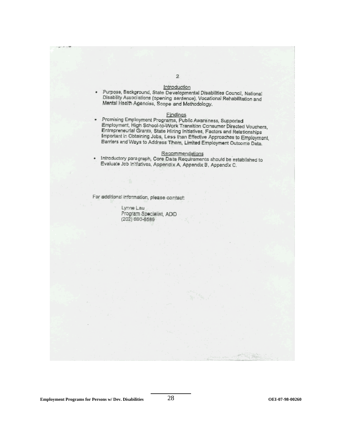- Introduction
- · Purpose, Background, State Developmental Disabilities Council, National Disability Associations (opening sentence), Vocational Rehabilitation and Mental Health Agencies, Scope and Methodology.

#### Findings

· Promising Employment Programs, Public Awareness, Supported Employment, High School-to-Work Transition Consumer Directed Vouchers, Entrepreneurial Grants, State Hiring Initiatives, Factors and Relationships Important in Obtaining Jobs, Less than Effective Approaches to Employment, Barriers and Ways to Address Them, Limited Employment Outcome Data.

#### Recommendations

· Introductory paragraph, Core Data Requirements should be established to Evaluate Job Initiatives, Appendix A, Appendix B, Appendix C.

For additional information, please contact:

Lynne Lau Program Specialist, ADD (202) 690-6589